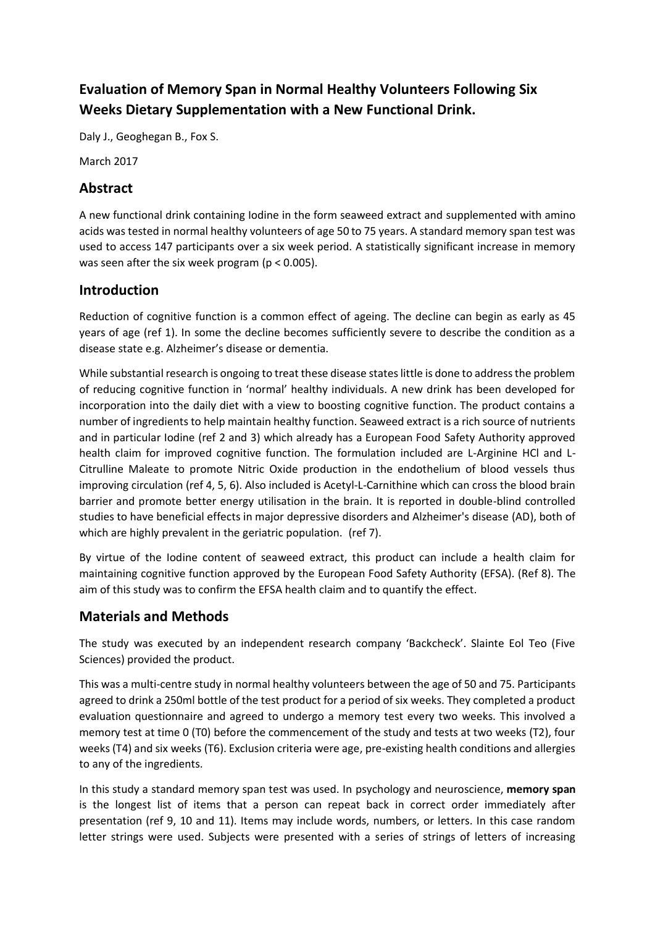# **Evaluation of Memory Span in Normal Healthy Volunteers Following Six Weeks Dietary Supplementation with a New Functional Drink.**

Daly J., Geoghegan B., Fox S.

March 2017

### **Abstract**

A new functional drink containing Iodine in the form seaweed extract and supplemented with amino acids was tested in normal healthy volunteers of age 50 to 75 years. A standard memory span test was used to access 147 participants over a six week period. A statistically significant increase in memory was seen after the six week program (p < 0.005).

### **Introduction**

Reduction of cognitive function is a common effect of ageing. The decline can begin as early as 45 years of age (ref 1). In some the decline becomes sufficiently severe to describe the condition as a disease state e.g. Alzheimer's disease or dementia.

While substantial research is ongoing to treat these disease states little is done to address the problem of reducing cognitive function in 'normal' healthy individuals. A new drink has been developed for incorporation into the daily diet with a view to boosting cognitive function. The product contains a number of ingredients to help maintain healthy function. Seaweed extract is a rich source of nutrients and in particular Iodine (ref 2 and 3) which already has a European Food Safety Authority approved health claim for improved cognitive function. The formulation included are L-Arginine HCl and L-Citrulline Maleate to promote Nitric Oxide production in the endothelium of blood vessels thus improving circulation (ref 4, 5, 6). Also included is Acetyl-L-Carnithine which can cross the blood brain barrier and promote better energy utilisation in the brain. It is reported in double-blind controlled studies to have beneficial effects in major depressive disorders and Alzheimer's disease (AD), both of which are highly prevalent in the geriatric population. (ref 7).

By virtue of the Iodine content of seaweed extract, this product can include a health claim for maintaining cognitive function approved by the European Food Safety Authority (EFSA). (Ref 8). The aim of this study was to confirm the EFSA health claim and to quantify the effect.

### **Materials and Methods**

The study was executed by an independent research company 'Backcheck'. Slainte Eol Teo (Five Sciences) provided the product.

This was a multi-centre study in normal healthy volunteers between the age of 50 and 75. Participants agreed to drink a 250ml bottle of the test product for a period of six weeks. They completed a product evaluation questionnaire and agreed to undergo a memory test every two weeks. This involved a memory test at time 0 (T0) before the commencement of the study and tests at two weeks (T2), four weeks (T4) and six weeks (T6). Exclusion criteria were age, pre-existing health conditions and allergies to any of the ingredients.

In this study a standard memory span test was used. In [psychology](https://en.wikipedia.org/wiki/Psychology) and [neuroscience,](https://en.wikipedia.org/wiki/Neuroscience) **memory span** is the longest list of items that a person can repeat back in correct order immediately after presentation (ref 9, 10 and 11). Items may include words, numbers, or letters. In this case random letter strings were used. Subjects were presented with a series of strings of letters of increasing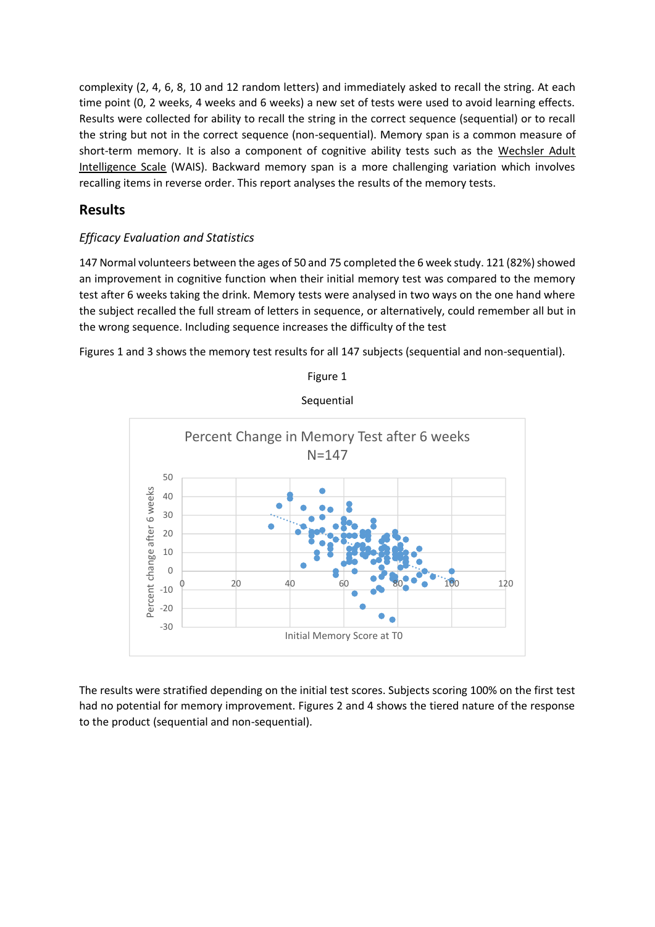complexity (2, 4, 6, 8, 10 and 12 random letters) and immediately asked to recall the string. At each time point (0, 2 weeks, 4 weeks and 6 weeks) a new set of tests were used to avoid learning effects. Results were collected for ability to recall the string in the correct sequence (sequential) or to recall the string but not in the correct sequence (non-sequential). Memory span is a common measure of [short-term memory.](https://en.wikipedia.org/wiki/Short-term_memory) It is also a component of cognitive ability tests such as the [Wechsler Adult](https://en.wikipedia.org/wiki/Wechsler_Adult_Intelligence_Scale)  [Intelligence Scale](https://en.wikipedia.org/wiki/Wechsler_Adult_Intelligence_Scale) (WAIS). Backward memory span is a more challenging variation which involves recalling items in reverse order. This report analyses the results of the memory tests.

### **Results**

### *Efficacy Evaluation and Statistics*

147 Normal volunteers between the ages of 50 and 75 completed the 6 week study. 121 (82%) showed an improvement in cognitive function when their initial memory test was compared to the memory test after 6 weeks taking the drink. Memory tests were analysed in two ways on the one hand where the subject recalled the full stream of letters in sequence, or alternatively, could remember all but in the wrong sequence. Including sequence increases the difficulty of the test

Figures 1 and 3 shows the memory test results for all 147 subjects (sequential and non-sequential).



Figure 1

**Sequential** 

The results were stratified depending on the initial test scores. Subjects scoring 100% on the first test had no potential for memory improvement. Figures 2 and 4 shows the tiered nature of the response to the product (sequential and non-sequential).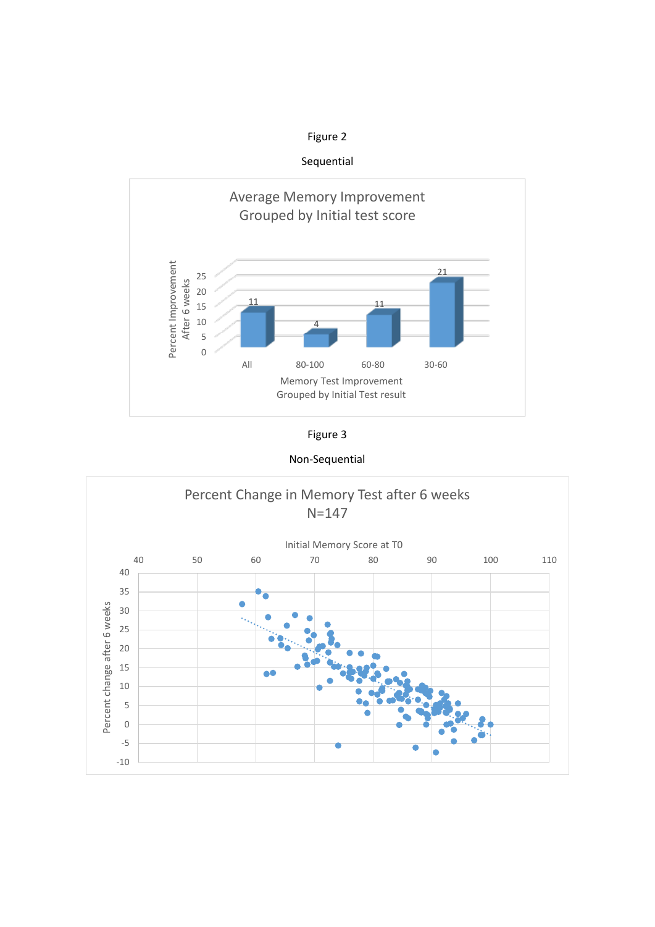

Sequential







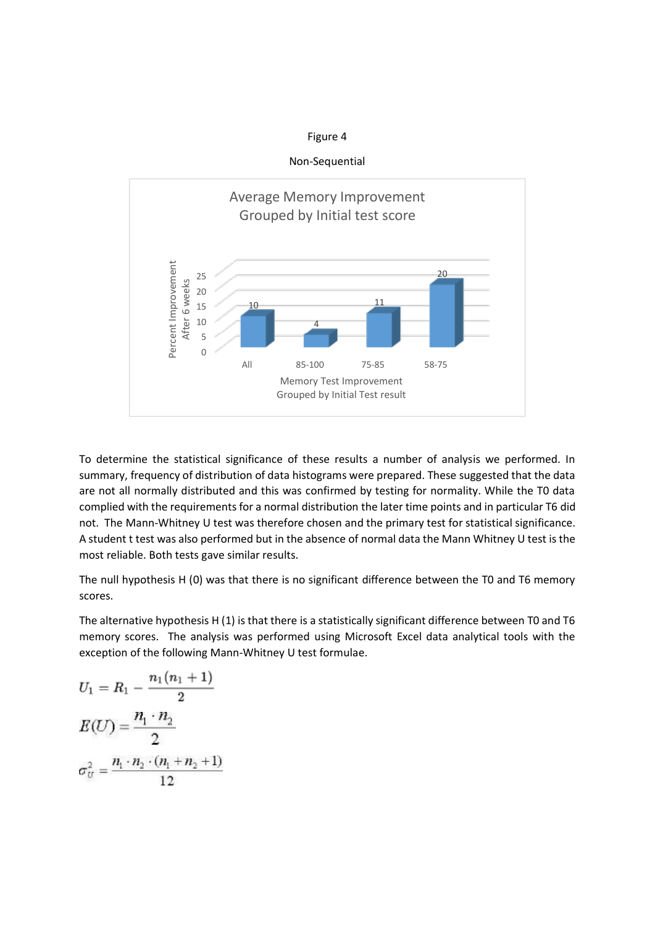Non-Sequential



To determine the statistical significance of these results a number of analysis we performed. In summary, frequency of distribution of data histograms were prepared. These suggested that the data are not all normally distributed and this was confirmed by testing for normality. While the T0 data complied with the requirements for a normal distribution the later time points and in particular T6 did not. The Mann-Whitney U test was therefore chosen and the primary test for statistical significance. A student t test was also performed but in the absence of normal data the Mann Whitney U test is the most reliable. Both tests gave similar results.

The null hypothesis H (0) was that there is no significant difference between the T0 and T6 memory scores.

The alternative hypothesis H (1) is that there is a statistically significant difference between T0 and T6 memory scores. The analysis was performed using Microsoft Excel data analytical tools with the exception of the following Mann-Whitney U test formulae.

$$
U_1 = R_1 - \frac{n_1(n_1 + 1)}{2}
$$
  

$$
E(U) = \frac{n_1 \cdot n_2}{2}
$$
  

$$
\sigma_U^2 = \frac{n_1 \cdot n_2 \cdot (n_1 + n_2 + 1)}{12}
$$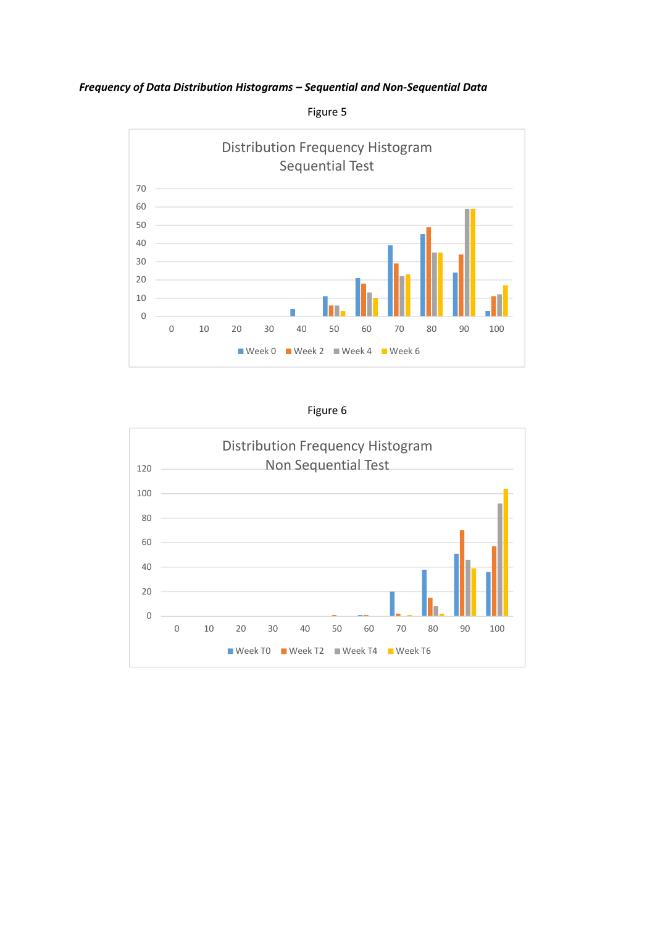*Frequency of Data Distribution Histograms – Sequential and Non-Sequential Data* 



Figure 5

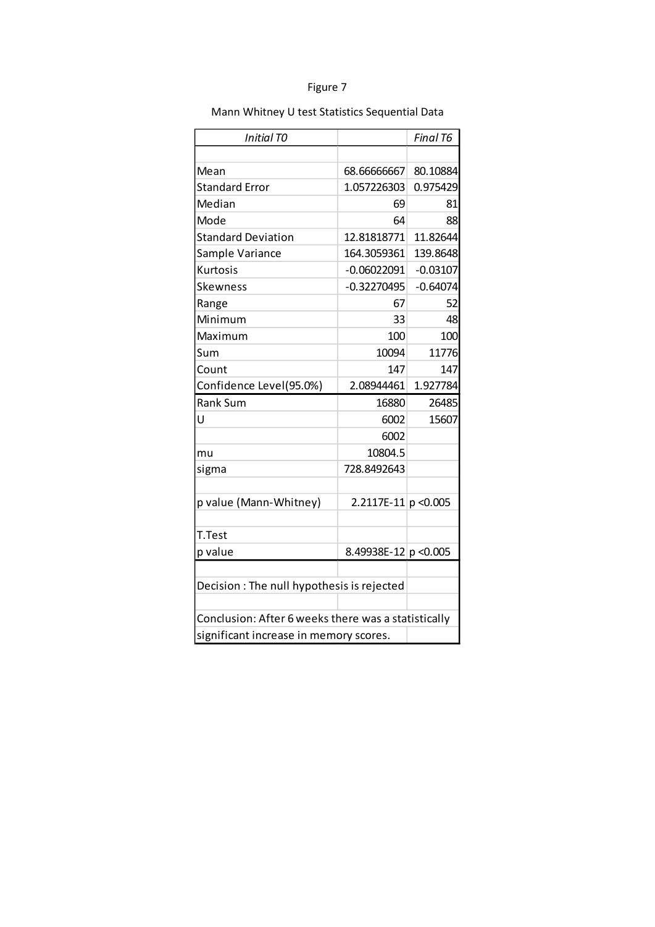| Initial TO                                          |                        | Final T6   |  |
|-----------------------------------------------------|------------------------|------------|--|
|                                                     |                        |            |  |
| Mean                                                | 68.66666667            | 80.10884   |  |
| <b>Standard Error</b>                               | 1.057226303            | 0.975429   |  |
| Median                                              | 69                     | 81         |  |
| Mode                                                | 64                     | 88         |  |
| <b>Standard Deviation</b>                           | 12.81818771            | 11.82644   |  |
| Sample Variance                                     | 164.3059361            | 139.8648   |  |
| Kurtosis                                            | $-0.06022091$          | $-0.03107$ |  |
| Skewness                                            | $-0.32270495$          | $-0.64074$ |  |
| Range                                               | 67                     | 52         |  |
| Minimum                                             | 33                     | 48         |  |
| Maximum                                             | 100                    | 100        |  |
| Sum                                                 | 10094                  | 11776      |  |
| Count                                               | 147                    | 147        |  |
| Confidence Level(95.0%)                             | 2.08944461             | 1.927784   |  |
| <b>Rank Sum</b>                                     | 16880                  | 26485      |  |
| U                                                   | 6002                   | 15607      |  |
|                                                     | 6002                   |            |  |
| mu                                                  | 10804.5                |            |  |
| sigma                                               | 728.8492643            |            |  |
|                                                     |                        |            |  |
| p value (Mann-Whitney)                              | $2.2117E-11$ p < 0.005 |            |  |
|                                                     |                        |            |  |
| T.Test                                              |                        |            |  |
| p value                                             | 8.49938E-12 p < 0.005  |            |  |
|                                                     |                        |            |  |
| Decision: The null hypothesis is rejected           |                        |            |  |
|                                                     |                        |            |  |
| Conclusion: After 6 weeks there was a statistically |                        |            |  |
| significant increase in memory scores.              |                        |            |  |

## Mann Whitney U test Statistics Sequential Data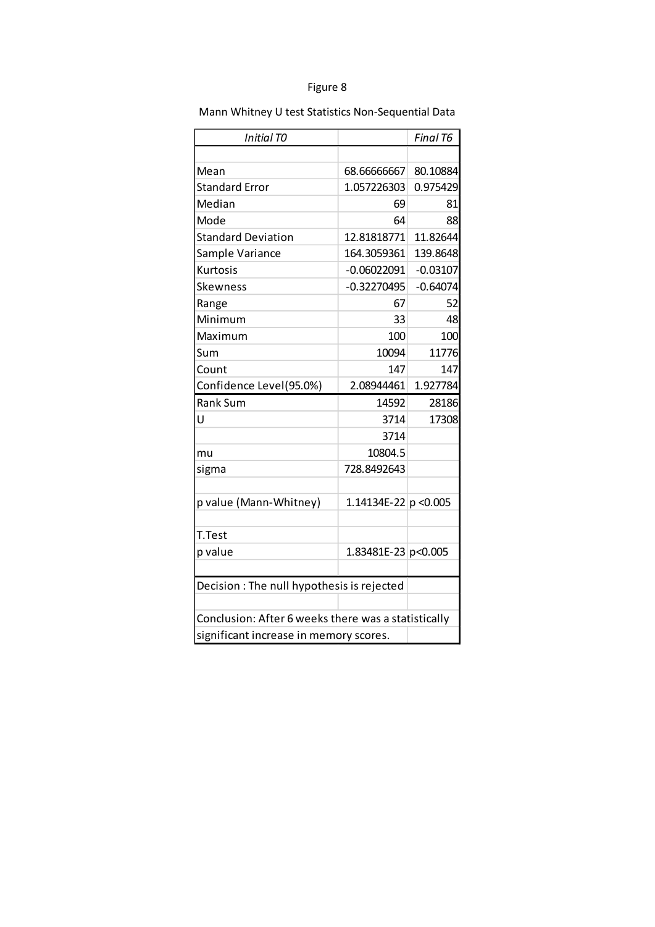| <b>Initial TO</b>                                   |                         | Final T6   |  |
|-----------------------------------------------------|-------------------------|------------|--|
|                                                     |                         |            |  |
| Mean                                                | 68.66666667             | 80.10884   |  |
| <b>Standard Error</b>                               | 1.057226303             | 0.975429   |  |
| Median                                              | 69                      | 81         |  |
| Mode                                                | 64                      | 88         |  |
| <b>Standard Deviation</b>                           | 12.81818771             | 11.82644   |  |
| Sample Variance                                     | 164.3059361             | 139.8648   |  |
| Kurtosis                                            | $-0.06022091$           | $-0.03107$ |  |
| Skewness                                            | $-0.32270495$           | $-0.64074$ |  |
| Range                                               | 67                      | 52         |  |
| Minimum                                             | 33                      | 48         |  |
| Maximum                                             | 100                     | 100        |  |
| Sum                                                 | 10094                   | 11776      |  |
| Count                                               | 147                     | 147        |  |
| Confidence Level(95.0%)                             | 2.08944461              | 1.927784   |  |
| Rank Sum                                            | 14592                   | 28186      |  |
| U                                                   | 3714                    | 17308      |  |
|                                                     | 3714                    |            |  |
| mu                                                  | 10804.5                 |            |  |
| sigma                                               | 728.8492643             |            |  |
|                                                     |                         |            |  |
| p value (Mann-Whitney)                              | 1.14134E-22 $p < 0.005$ |            |  |
|                                                     |                         |            |  |
| T.Test                                              |                         |            |  |
| p value                                             | 1.83481E-23 p<0.005     |            |  |
|                                                     |                         |            |  |
| Decision : The null hypothesis is rejected          |                         |            |  |
|                                                     |                         |            |  |
| Conclusion: After 6 weeks there was a statistically |                         |            |  |
| significant increase in memory scores.              |                         |            |  |

Mann Whitney U test Statistics Non-Sequential Data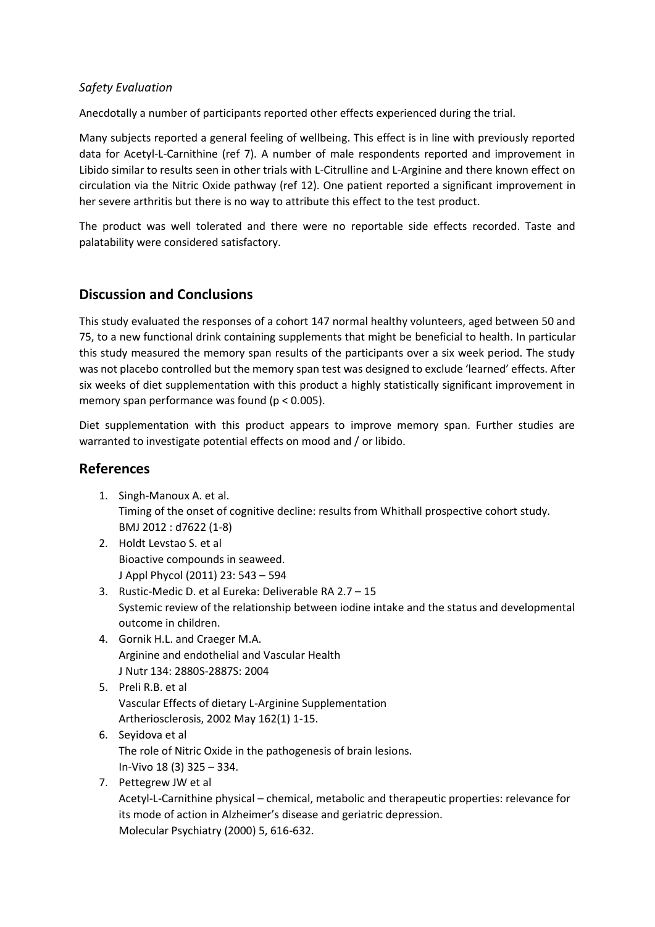### *Safety Evaluation*

Anecdotally a number of participants reported other effects experienced during the trial.

Many subjects reported a general feeling of wellbeing. This effect is in line with previously reported data for Acetyl-L-Carnithine (ref 7). A number of male respondents reported and improvement in Libido similar to results seen in other trials with L-Citrulline and L-Arginine and there known effect on circulation via the Nitric Oxide pathway (ref 12). One patient reported a significant improvement in her severe arthritis but there is no way to attribute this effect to the test product.

The product was well tolerated and there were no reportable side effects recorded. Taste and palatability were considered satisfactory.

### **Discussion and Conclusions**

This study evaluated the responses of a cohort 147 normal healthy volunteers, aged between 50 and 75, to a new functional drink containing supplements that might be beneficial to health. In particular this study measured the memory span results of the participants over a six week period. The study was not placebo controlled but the memory span test was designed to exclude 'learned' effects. After six weeks of diet supplementation with this product a highly statistically significant improvement in memory span performance was found (p < 0.005).

Diet supplementation with this product appears to improve memory span. Further studies are warranted to investigate potential effects on mood and / or libido.

### **References**

- 1. Singh-Manoux A. et al. Timing of the onset of cognitive decline: results from Whithall prospective cohort study. BMJ 2012 : d7622 (1-8)
- 2. Holdt Levstao S. et al Bioactive compounds in seaweed. J Appl Phycol (2011) 23: 543 – 594
- 3. Rustic-Medic D. et al Eureka: Deliverable RA 2.7 15 Systemic review of the relationship between iodine intake and the status and developmental outcome in children.
- 4. Gornik H.L. and Craeger M.A. Arginine and endothelial and Vascular Health J Nutr 134: 2880S-2887S: 2004
- 5. Preli R.B. et al Vascular Effects of dietary L-Arginine Supplementation Artheriosclerosis, 2002 May 162(1) 1-15.
- 6. Seyidova et al The role of Nitric Oxide in the pathogenesis of brain lesions. In-Vivo 18 (3) 325 – 334.
- 7. Pettegrew JW et al

Acetyl-L-Carnithine physical – chemical, metabolic and therapeutic properties: relevance for its mode of action in Alzheimer's disease and geriatric depression. Molecular Psychiatry (2000) 5, 616-632.